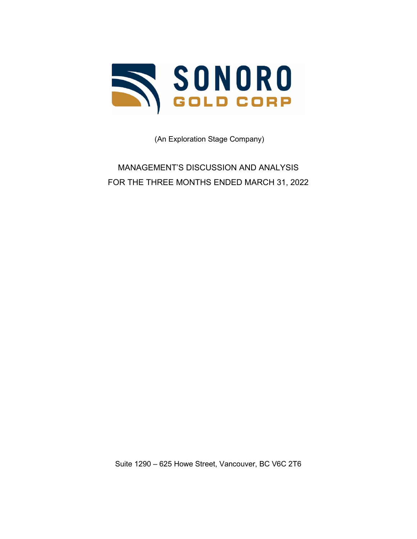

(An Exploration Stage Company)

MANAGEMENT'S DISCUSSION AND ANALYSIS FOR THE THREE MONTHS ENDED MARCH 31, 2022

Suite 1290 – 625 Howe Street, Vancouver, BC V6C 2T6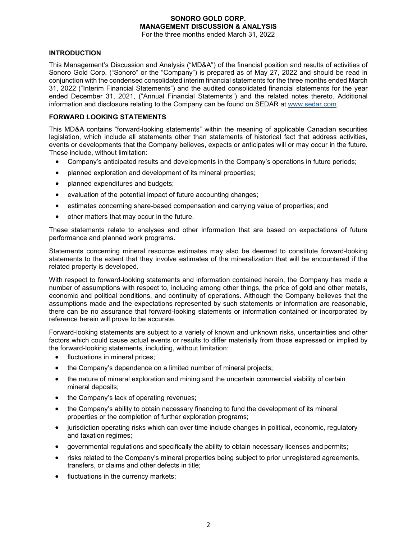# **INTRODUCTION**

This Management's Discussion and Analysis ("MD&A") of the financial position and results of activities of Sonoro Gold Corp. ("Sonoro" or the "Company") is prepared as of May 27, 2022 and should be read in conjunction with the condensed consolidated interim financial statements for the three months ended March 31, 2022 ("Interim Financial Statements") and the audited consolidated financial statements for the year ended December 31, 2021, ("Annual Financial Statements") and the related notes thereto. Additional information and disclosure relating to the Company can be found on SEDAR at [www.sedar.com.](http://www.sedar.com/)

# **FORWARD LOOKING STATEMENTS**

This MD&A contains "forward-looking statements" within the meaning of applicable Canadian securities legislation, which include all statements other than statements of historical fact that address activities, events or developments that the Company believes, expects or anticipates will or may occur in the future. These include, without limitation:

- Company's anticipated results and developments in the Company's operations in future periods;
- planned exploration and development of its mineral properties;
- planned expenditures and budgets;
- evaluation of the potential impact of future accounting changes;
- estimates concerning share-based compensation and carrying value of properties; and
- other matters that may occur in the future.

These statements relate to analyses and other information that are based on expectations of future performance and planned work programs.

Statements concerning mineral resource estimates may also be deemed to constitute forward-looking statements to the extent that they involve estimates of the mineralization that will be encountered if the related property is developed.

With respect to forward-looking statements and information contained herein, the Company has made a number of assumptions with respect to, including among other things, the price of gold and other metals, economic and political conditions, and continuity of operations. Although the Company believes that the assumptions made and the expectations represented by such statements or information are reasonable, there can be no assurance that forward-looking statements or information contained or incorporated by reference herein will prove to be accurate.

Forward-looking statements are subject to a variety of known and unknown risks, uncertainties and other factors which could cause actual events or results to differ materially from those expressed or implied by the forward-looking statements, including, without limitation:

- fluctuations in mineral prices:
- the Company's dependence on a limited number of mineral projects;
- the nature of mineral exploration and mining and the uncertain commercial viability of certain mineral deposits;
- the Company's lack of operating revenues;
- the Company's ability to obtain necessary financing to fund the development of its mineral properties or the completion of further exploration programs;
- jurisdiction operating risks which can over time include changes in political, economic, regulatory and taxation regimes;
- governmental regulations and specifically the ability to obtain necessary licenses and permits;
- risks related to the Company's mineral properties being subject to prior unregistered agreements, transfers, or claims and other defects in title;
- fluctuations in the currency markets: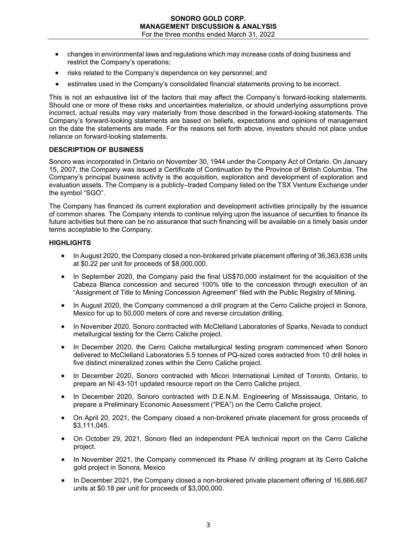- changes in environmental laws and regulations which may increase costs of doing business and restrict the Company's operations;
- risks related to the Company's dependence on key personnel; and
- estimates used in the Company's consolidated financial statements proving to be incorrect.

This is not an exhaustive list of the factors that may affect the Company's forward-looking statements. Should one or more of these risks and uncertainties materialize, or should underlying assumptions prove incorrect, actual results may vary materially from those described in the forward-looking statements. The Company's forward-looking statements are based on beliefs, expectations and opinions of management on the date the statements are made. For the reasons set forth above, investors should not place undue reliance on forward-looking statements.

# **DESCRIPTION OF BUSINESS**

Sonoro was incorporated in Ontario on November 30, 1944 under the Company Act of Ontario. On January 15, 2007, the Company was issued a Certificate of Continuation by the Province of British Columbia. The Company's principal business activity is the acquisition, exploration and development of exploration and evaluation assets. The Company is a publicly–traded Company listed on the TSX Venture Exchange under the symbol "SGO".

The Company has financed its current exploration and development activities principally by the issuance of common shares. The Company intends to continue relying upon the issuance of securities to finance its future activities but there can be no assurance that such financing will be available on a timely basis under terms acceptable to the Company.

## **HIGHLIGHTS**

- In August 2020, the Company closed a non-brokered private placement offering of 36,363,638 units at \$0.22 per unit for proceeds of \$8,000,000.
- In September 2020, the Company paid the final US\$70,000 instalment for the acquisition of the Cabeza Blanca concession and secured 100% title to the concession through execution of an "Assignment of Title to Mining Concession Agreement" filed with the Public Registry of Mining.
- In August 2020, the Company commenced a drill program at the Cerro Caliche project in Sonora, Mexico for up to 50,000 meters of core and reverse circulation drilling.
- In November 2020, Sonoro contracted with McClelland Laboratories of Sparks, Nevada to conduct metallurgical testing for the Cerro Caliche project.
- In December 2020, the Cerro Caliche metallurgical testing program commenced when Sonoro delivered to McClelland Laboratories 5.5 tonnes of PQ-sized cores extracted from 10 drill holes in five distinct mineralized zones within the Cerro Caliche project.
- In December 2020, Sonoro contracted with Micon International Limited of Toronto, Ontario, to prepare an NI 43-101 updated resource report on the Cerro Caliche project.
- In December 2020, Sonoro contracted with D.E.N.M. Engineering of Mississauga, Ontario, to prepare a Preliminary Economic Assessment ("PEA") on the Cerro Caliche project.
- On April 20, 2021, the Company closed a non-brokered private placement for gross proceeds of \$3,111,045.
- On October 29, 2021, Sonoro filed an independent PEA technical report on the Cerro Caliche project.
- In November 2021, the Company commenced its Phase IV drilling program at its Cerro Caliche gold project in Sonora, Mexico
- In December 2021, the Company closed a non-brokered private placement offering of 16,666,667 units at \$0.18 per unit for proceeds of \$3,000,000.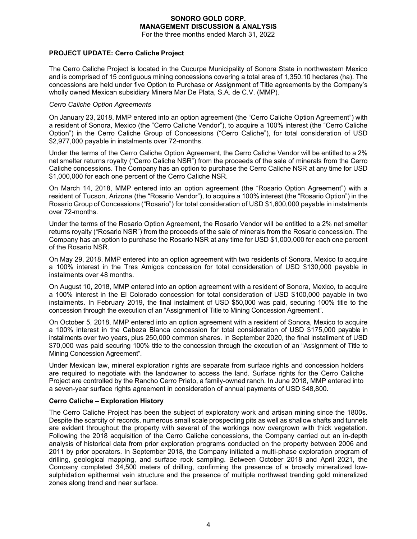# **PROJECT UPDATE: Cerro Caliche Project**

The Cerro Caliche Project is located in the Cucurpe Municipality of Sonora State in northwestern Mexico and is comprised of 15 contiguous mining concessions covering a total area of 1,350.10 hectares (ha). The concessions are held under five Option to Purchase or Assignment of Title agreements by the Company's wholly owned Mexican subsidiary Minera Mar De Plata, S.A. de C.V. (MMP).

### *Cerro Caliche Option Agreements*

On January 23, 2018, MMP entered into an option agreement (the "Cerro Caliche Option Agreement") with a resident of Sonora, Mexico (the "Cerro Caliche Vendor"), to acquire a 100% interest (the "Cerro Caliche Option") in the Cerro Caliche Group of Concessions ("Cerro Caliche"), for total consideration of USD \$2,977,000 payable in instalments over 72-months.

Under the terms of the Cerro Caliche Option Agreement, the Cerro Caliche Vendor will be entitled to a 2% net smelter returns royalty ("Cerro Caliche NSR") from the proceeds of the sale of minerals from the Cerro Caliche concessions. The Company has an option to purchase the Cerro Caliche NSR at any time for USD \$1,000,000 for each one percent of the Cerro Caliche NSR.

On March 14, 2018, MMP entered into an option agreement (the "Rosario Option Agreement") with a resident of Tucson, Arizona (the "Rosario Vendor"), to acquire a 100% interest (the "Rosario Option") in the Rosario Group of Concessions ("Rosario") for total consideration of USD \$1,600,000 payable in instalments over 72-months.

Under the terms of the Rosario Option Agreement, the Rosario Vendor will be entitled to a 2% net smelter returns royalty ("Rosario NSR") from the proceeds of the sale of minerals from the Rosario concession. The Company has an option to purchase the Rosario NSR at any time for USD \$1,000,000 for each one percent of the Rosario NSR.

On May 29, 2018, MMP entered into an option agreement with two residents of Sonora, Mexico to acquire a 100% interest in the Tres Amigos concession for total consideration of USD \$130,000 payable in instalments over 48 months.

On August 10, 2018, MMP entered into an option agreement with a resident of Sonora, Mexico, to acquire a 100% interest in the El Colorado concession for total consideration of USD \$100,000 payable in two instalments. In February 2019, the final instalment of USD \$50,000 was paid, securing 100% title to the concession through the execution of an "Assignment of Title to Mining Concession Agreement".

On October 5, 2018, MMP entered into an option agreement with a resident of Sonora, Mexico to acquire a 100% interest in the Cabeza Blanca concession for total consideration of USD \$175,000 payable in installments over two years, plus 250,000 common shares. In September 2020, the final installment of USD \$70,000 was paid securing 100% title to the concession through the execution of an "Assignment of Title to Mining Concession Agreement".

Under Mexican law, mineral exploration rights are separate from surface rights and concession holders are required to negotiate with the landowner to access the land. Surface rights for the Cerro Caliche Project are controlled by the Rancho Cerro Prieto, a family-owned ranch. In June 2018, MMP entered into a seven-year surface rights agreement in consideration of annual payments of USD \$48,800.

### **Cerro Caliche – Exploration History**

The Cerro Caliche Project has been the subject of exploratory work and artisan mining since the 1800s. Despite the scarcity of records, numerous small scale prospecting pits as well as shallow shafts and tunnels are evident throughout the property with several of the workings now overgrown with thick vegetation. Following the 2018 acquisition of the Cerro Caliche concessions, the Company carried out an in-depth analysis of historical data from prior exploration programs conducted on the property between 2006 and 2011 by prior operators. In September 2018, the Company initiated a multi-phase exploration program of drilling, geological mapping, and surface rock sampling. Between October 2018 and April 2021, the Company completed 34,500 meters of drilling, confirming the presence of a broadly mineralized lowsulphidation epithermal vein structure and the presence of multiple northwest trending gold mineralized zones along trend and near surface.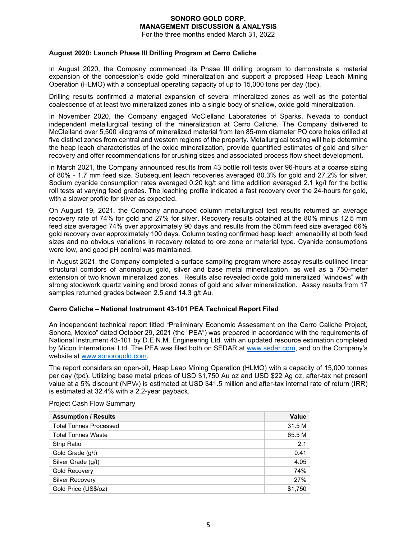### **August 2020: Launch Phase III Drilling Program at Cerro Caliche**

In August 2020, the Company commenced its Phase III drilling program to demonstrate a material expansion of the concession's oxide gold mineralization and support a proposed Heap Leach Mining Operation (HLMO) with a conceptual operating capacity of up to 15,000 tons per day (tpd).

Drilling results confirmed a material expansion of several mineralized zones as well as the potential coalescence of at least two mineralized zones into a single body of shallow, oxide gold mineralization.

In November 2020, the Company engaged McClelland Laboratories of Sparks, Nevada to conduct independent metallurgical testing of the mineralization at Cerro Caliche. The Company delivered to McClelland over 5,500 kilograms of mineralized material from ten 85-mm diameter PQ core holes drilled at five distinct zones from central and western regions of the property. Metallurgical testing will help determine the heap leach characteristics of the oxide mineralization, provide quantified estimates of gold and silver recovery and offer recommendations for crushing sizes and associated process flow sheet development.

In March 2021, the Company announced results from 43 bottle roll tests over 96-hours at a coarse sizing of 80% - 1.7 mm feed size. Subsequent leach recoveries averaged 80.3% for gold and 27.2% for silver. Sodium cyanide consumption rates averaged 0.20 kg/t and lime addition averaged 2.1 kg/t for the bottle roll tests at varying feed grades. The leaching profile indicated a fast recovery over the 24-hours for gold, with a slower profile for silver as expected.

On August 19, 2021, the Company announced column metallurgical test results returned an average recovery rate of 74% for gold and 27% for silver. Recovery results obtained at the 80% minus 12.5 mm feed size averaged 74% over approximately 90 days and results from the 50mm feed size averaged 66% gold recovery over approximately 100 days. Column testing confirmed heap leach amenability at both feed sizes and no obvious variations in recovery related to ore zone or material type. Cyanide consumptions were low, and good pH control was maintained.

In August 2021, the Company completed a surface sampling program where assay results outlined linear structural corridors of anomalous gold, silver and base metal mineralization, as well as a 750-meter extension of two known mineralized zones. Results also revealed oxide gold mineralized "windows" with strong stockwork quartz veining and broad zones of gold and silver mineralization. Assay results from 17 samples returned grades between 2.5 and 14.3 g/t Au.

### **Cerro Caliche – National Instrument 43-101 PEA Technical Report Filed**

An independent technical report titled "Preliminary Economic Assessment on the Cerro Caliche Project, Sonora, Mexico" dated October 29, 2021 (the "PEA") was prepared in accordance with the requirements of National Instrument 43-101 by D.E.N.M. Engineering Ltd. with an updated resource estimation completed by Micon International Ltd. The PEA was filed both on SEDAR at [www.sedar.com,](http://www.sedar.com/) and on the Company's website at [www.sonorogold.com.](http://www.sonorogold.com/)

The report considers an open-pit, Heap Leap Mining Operation (HLMO) with a capacity of 15,000 tonnes per day (tpd). Utilizing base metal prices of USD \$1,750 Au oz and USD \$22 Ag oz, after-tax net present value at a 5% discount (NPV<sub>5</sub>) is estimated at USD \$41.5 million and after-tax internal rate of return (IRR) is estimated at 32.4% with a 2.2-year payback.

| <b>Assumption / Results</b>   | Value   |
|-------------------------------|---------|
| <b>Total Tonnes Processed</b> | 31.5 M  |
| <b>Total Tonnes Waste</b>     | 65.5 M  |
| <b>Strip Ratio</b>            | 2.1     |
| Gold Grade (g/t)              | 0.41    |
| Silver Grade (g/t)            | 4.05    |
| <b>Gold Recovery</b>          | 74%     |
| <b>Silver Recovery</b>        | 27%     |
| Gold Price (US\$/oz)          | \$1.750 |

Project Cash Flow Summary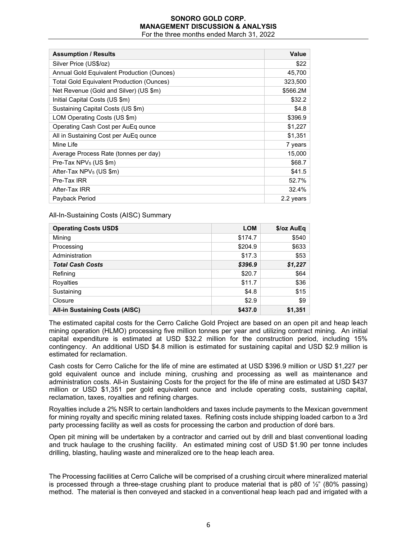| <b>Assumption / Results</b>                      | <b>Value</b> |
|--------------------------------------------------|--------------|
| Silver Price (US\$/oz)                           | \$22         |
| Annual Gold Equivalent Production (Ounces)       | 45,700       |
| <b>Total Gold Equivalent Production (Ounces)</b> | 323,500      |
| Net Revenue (Gold and Silver) (US \$m)           | \$566.2M     |
| Initial Capital Costs (US \$m)                   | \$32.2       |
| Sustaining Capital Costs (US \$m)                | \$4.8        |
| LOM Operating Costs (US \$m)                     | \$396.9      |
| Operating Cash Cost per AuEq ounce               | \$1,227      |
| All in Sustaining Cost per AuEq ounce            | \$1,351      |
| Mine Life                                        | 7 years      |
| Average Process Rate (tonnes per day)            | 15,000       |
| Pre-Tax $NPV_5$ (US \$m)                         | \$68.7       |
| After-Tax $NPV_5$ (US \$m)                       | \$41.5       |
| Pre-Tax IRR                                      | 52.7%        |
| After-Tax IRR                                    | 32.4%        |
| Payback Period                                   | 2.2 years    |

### All-In-Sustaining Costs (AISC) Summary

| <b>Operating Costs USD\$</b>          | <b>LOM</b> | \$/oz AuEq |
|---------------------------------------|------------|------------|
| Mining                                | \$174.7    | \$540      |
| Processing                            | \$204.9    | \$633      |
| Administration                        | \$17.3     | \$53       |
| <b>Total Cash Costs</b>               | \$396.9    | \$1,227    |
| Refining                              | \$20.7     | \$64       |
| Royalties                             | \$11.7     | \$36       |
| Sustaining                            | \$4.8      | \$15       |
| Closure                               | \$2.9      | \$9        |
| <b>All-in Sustaining Costs (AISC)</b> | \$437.0    | \$1,351    |

The estimated capital costs for the Cerro Caliche Gold Project are based on an open pit and heap leach mining operation (HLMO) processing five million tonnes per year and utilizing contract mining. An initial capital expenditure is estimated at USD \$32.2 million for the construction period, including 15% contingency. An additional USD \$4.8 million is estimated for sustaining capital and USD \$2.9 million is estimated for reclamation.

Cash costs for Cerro Caliche for the life of mine are estimated at USD \$396.9 million or USD \$1,227 per gold equivalent ounce and include mining, crushing and processing as well as maintenance and administration costs. All-in Sustaining Costs for the project for the life of mine are estimated at USD \$437 million or USD \$1,351 per gold equivalent ounce and include operating costs, sustaining capital, reclamation, taxes, royalties and refining charges.

Royalties include a 2% NSR to certain landholders and taxes include payments to the Mexican government for mining royalty and specific mining related taxes. Refining costs include shipping loaded carbon to a 3rd party processing facility as well as costs for processing the carbon and production of doré bars.

Open pit mining will be undertaken by a contractor and carried out by drill and blast conventional loading and truck haulage to the crushing facility. An estimated mining cost of USD \$1.90 per tonne includes drilling, blasting, hauling waste and mineralized ore to the heap leach area.

The Processing facilities at Cerro Caliche will be comprised of a crushing circuit where mineralized material is processed through a three-stage crushing plant to produce material that is p80 of  $\frac{1}{2}$ " (80% passing) method. The material is then conveyed and stacked in a conventional heap leach pad and irrigated with a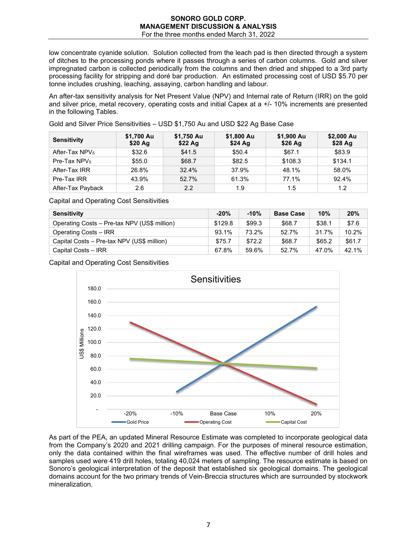low concentrate cyanide solution. Solution collected from the leach pad is then directed through a system of ditches to the processing ponds where it passes through a series of carbon columns. Gold and silver impregnated carbon is collected periodically from the columns and then dried and shipped to a 3rd party processing facility for stripping and doré bar production. An estimated processing cost of USD \$5.70 per tonne includes crushing, leaching, assaying, carbon handling and labour.

An after-tax sensitivity analysis for Net Present Value (NPV) and Internal rate of Return (IRR) on the gold and silver price, metal recovery, operating costs and initial Capex at a +/- 10% increments are presented in the following Tables.

Gold and Silver Price Sensitivities – USD \$1,750 Au and USD \$22 Ag Base Case

| <b>Sensitivity</b> | \$1,700 Au<br>\$20 Ag | \$1,750 Au<br>\$22 Ag | \$1,800 Au<br>\$24 Ag | \$1,900 Au<br>\$26 Ag | \$2,000 Au<br>\$28 Ag |
|--------------------|-----------------------|-----------------------|-----------------------|-----------------------|-----------------------|
| After-Tax $NPV5$   | \$32.6                | \$41.5                | \$50.4                | \$67.1                | \$83.9                |
| Pre-Tax $NPV5$     | \$55.0                | \$68.7                | \$82.5                | \$108.3               | \$134.1               |
| After-Tax IRR      | 26.8%                 | 32.4%                 | 37.9%                 | 48.1%                 | 58.0%                 |
| Pre-Tax IRR        | 43.9%                 | 52.7%                 | 61.3%                 | 77.1%                 | 92.4%                 |
| After-Tax Payback  | 2.6                   | 2.2                   | 1.9                   | 1.5                   | 1.2                   |

Capital and Operating Cost Sensitivities

| <b>Sensitivity</b>                           | $-20%$  | $-10%$ | <b>Base Case</b> | 10%    | 20%    |
|----------------------------------------------|---------|--------|------------------|--------|--------|
| Operating Costs - Pre-tax NPV (US\$ million) | \$129.8 | \$99.3 | \$68.7           | \$38.1 | \$7.6  |
| Operating Costs - IRR                        | 93.1%   | 73.2%  | 52.7%            | 31.7%  | 10.2%  |
| Capital Costs - Pre-tax NPV (US\$ million)   | \$75.7  | \$72.2 | \$68.7           | \$65.2 | \$61.7 |
| Capital Costs - IRR                          | 67.8%   | 59.6%  | 52.7%            | 47.0%  | 42.1%  |

Capital and Operating Cost Sensitivities



As part of the PEA, an updated Mineral Resource Estimate was completed to incorporate geological data from the Company's 2020 and 2021 drilling campaign. For the purposes of mineral resource estimation, only the data contained within the final wireframes was used. The effective number of drill holes and samples used were 419 drill holes, totaling 40,024 meters of sampling. The resource estimate is based on Sonoro's geological interpretation of the deposit that established six geological domains. The geological domains account for the two primary trends of Vein-Breccia structures which are surrounded by stockwork mineralization.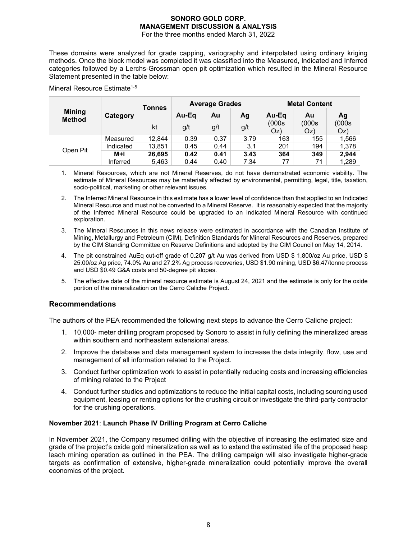These domains were analyzed for grade capping, variography and interpolated using ordinary kriging methods. Once the block model was completed it was classified into the Measured, Indicated and Inferred categories followed by a Lerchs-Grossman open pit optimization which resulted in the Mineral Resource Statement presented in the table below:

#### Mineral Resource Estimate<sup>1-5</sup>

| <b>Mining</b><br>Category<br><b>Method</b> | <b>Tonnes</b> | <b>Average Grades</b> |       |      | <b>Metal Content</b> |              |             |              |
|--------------------------------------------|---------------|-----------------------|-------|------|----------------------|--------------|-------------|--------------|
|                                            |               |                       | Au-Eq | Au   | Ag                   | Au-Eq        | Au          | Aq           |
|                                            |               | kt                    | g/t   | g/t  | g/t                  | (000s<br>Oz) | (000s<br>OZ | (000s<br>Oz) |
|                                            | Measured      | 12.844                | 0.39  | 0.37 | 3.79                 | 163          | 155         | 1,566        |
| Open Pit                                   | Indicated     | 13.851                | 0.45  | 0.44 | 3.1                  | 201          | 194         | 1,378        |
|                                            | M+I           | 26,695                | 0.42  | 0.41 | 3.43                 | 364          | 349         | 2,944        |
|                                            | Inferred      | 5.463                 | 0.44  | 0.40 | 7.34                 | 77           | 71          | 1,289        |

- 1. Mineral Resources, which are not Mineral Reserves, do not have demonstrated economic viability. The estimate of Mineral Resources may be materially affected by environmental, permitting, legal, title, taxation, socio-political, marketing or other relevant issues.
- 2. The Inferred Mineral Resource in this estimate has a lower level of confidence than that applied to an Indicated Mineral Resource and must not be converted to a Mineral Reserve. It is reasonably expected that the majority of the Inferred Mineral Resource could be upgraded to an Indicated Mineral Resource with continued exploration.
- 3. The Mineral Resources in this news release were estimated in accordance with the Canadian Institute of Mining, Metallurgy and Petroleum (CIM), Definition Standards for Mineral Resources and Reserves, prepared by the CIM Standing Committee on Reserve Definitions and adopted by the CIM Council on May 14, 2014.
- 4. The pit constrained AuEq cut-off grade of 0.207 g/t Au was derived from USD \$ 1,800/oz Au price, USD \$ 25.00/oz Ag price, 74.0% Au and 27.2% Ag process recoveries, USD \$1.90 mining, USD \$6.47/tonne process and USD \$0.49 G&A costs and 50-degree pit slopes.
- 5. The effective date of the mineral resource estimate is August 24, 2021 and the estimate is only for the oxide portion of the mineralization on the Cerro Caliche Project.

### **Recommendations**

The authors of the PEA recommended the following next steps to advance the Cerro Caliche project:

- 1. 10,000- meter drilling program proposed by Sonoro to assist in fully defining the mineralized areas within southern and northeastern extensional areas.
- 2. Improve the database and data management system to increase the data integrity, flow, use and management of all information related to the Project.
- 3. Conduct further optimization work to assist in potentially reducing costs and increasing efficiencies of mining related to the Project
- 4. Conduct further studies and optimizations to reduce the initial capital costs, including sourcing used equipment, leasing or renting options for the crushing circuit or investigate the third-party contractor for the crushing operations.

## **November 2021**: **Launch Phase IV Drilling Program at Cerro Caliche**

In November 2021, the Company resumed drilling with the objective of increasing the estimated size and grade of the project's oxide gold mineralization as well as to extend the estimated life of the proposed heap leach mining operation as outlined in the PEA. The drilling campaign will also investigate higher-grade targets as confirmation of extensive, higher-grade mineralization could potentially improve the overall economics of the project.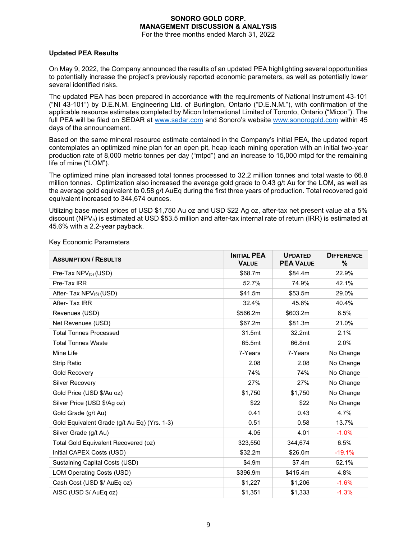# **Updated PEA Results**

On May 9, 2022, the Company announced the results of an updated PEA highlighting several opportunities to potentially increase the project's previously reported economic parameters, as well as potentially lower several identified risks.

The updated PEA has been prepared in accordance with the requirements of National Instrument 43-101 ("NI 43-101") by D.E.N.M. Engineering Ltd. of Burlington, Ontario ("D.E.N.M."), with confirmation of the applicable resource estimates completed by Micon International Limited of Toronto, Ontario ("Micon"). The full PEA will be filed on SEDAR at [www.sedar.com](http://www.sedar.com/) and Sonoro's website [www.sonorogold.com](http://www.sonorogold.com/) within 45 days of the announcement.

Based on the same mineral resource estimate contained in the Company's initial PEA, the updated report contemplates an optimized mine plan for an open pit, heap leach mining operation with an initial two-year production rate of 8,000 metric tonnes per day ("mtpd") and an increase to 15,000 mtpd for the remaining life of mine ("LOM").

The optimized mine plan increased total tonnes processed to 32.2 million tonnes and total waste to 66.8 million tonnes. Optimization also increased the average gold grade to 0.43 g/t Au for the LOM, as well as the average gold equivalent to 0.58 g/t AuEq during the first three years of production. Total recovered gold equivalent increased to 344,674 ounces.

Utilizing base metal prices of USD \$1,750 Au oz and USD \$22 Ag oz, after-tax net present value at a 5% discount (NPV5) is estimated at USD \$53.5 million and after-tax internal rate of return (IRR) is estimated at 45.6% with a 2.2-year payback.

| <b>ASSUMPTION / RESULTS</b>                  | <b>INITIAL PEA</b><br><b>VALUE</b> | <b>UPDATED</b><br><b>PEA VALUE</b> | <b>DIFFERENCE</b><br>% |
|----------------------------------------------|------------------------------------|------------------------------------|------------------------|
| Pre-Tax $NPV_{(5)}(USD)$                     | \$68.7m                            | \$84.4m                            | 22.9%                  |
| Pre-Tax IRR                                  | 52.7%                              | 74.9%                              | 42.1%                  |
| After- Tax NPV <sub>(5)</sub> (USD)          | \$41.5m                            | \$53.5m                            | 29.0%                  |
| After-Tax IRR                                | 32.4%                              | 45.6%                              | 40.4%                  |
| Revenues (USD)                               | \$566.2m                           | \$603.2m                           | 6.5%                   |
| Net Revenues (USD)                           | \$67.2m                            | \$81.3m                            | 21.0%                  |
| <b>Total Tonnes Processed</b>                | 31.5mt                             | 32.2mt                             | 2.1%                   |
| <b>Total Tonnes Waste</b>                    | 65.5mt                             | 66.8mt                             | 2.0%                   |
| Mine Life                                    | 7-Years                            | 7-Years                            | No Change              |
| <b>Strip Ratio</b>                           | 2.08                               | 2.08                               | No Change              |
| <b>Gold Recovery</b>                         | 74%                                | 74%                                | No Change              |
| <b>Silver Recovery</b>                       | 27%                                | 27%                                | No Change              |
| Gold Price (USD \$/Au oz)                    | \$1,750                            | \$1,750                            | No Change              |
| Silver Price (USD \$/Ag oz)                  | \$22                               | \$22                               | No Change              |
| Gold Grade (g/t Au)                          | 0.41                               | 0.43                               | 4.7%                   |
| Gold Equivalent Grade (g/t Au Eq) (Yrs. 1-3) | 0.51                               | 0.58                               | 13.7%                  |
| Silver Grade (g/t Au)                        | 4.05                               | 4.01                               | $-1.0%$                |
| Total Gold Equivalent Recovered (oz)         | 323,550                            | 344,674                            | 6.5%                   |
| Initial CAPEX Costs (USD)                    | \$32.2m                            | \$26.0m                            | $-19.1%$               |
| <b>Sustaining Capital Costs (USD)</b>        | \$4.9m                             | \$7.4m                             | 52.1%                  |
| LOM Operating Costs (USD)                    | \$396.9m                           | \$415.4m                           | 4.8%                   |
| Cash Cost (USD \$/ AuEq oz)                  | \$1,227                            | \$1,206                            | $-1.6%$                |
| AISC (USD \$/ AuEq oz)                       | \$1,351                            | \$1,333                            | $-1.3%$                |

Key Economic Parameters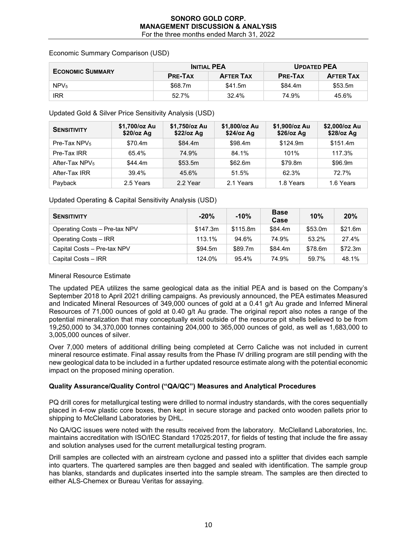## Economic Summary Comparison (USD)

| <b>ECONOMIC SUMMARY</b> |                | <b>INITIAL PEA</b> | <b>UPDATED PEA</b> |                  |  |
|-------------------------|----------------|--------------------|--------------------|------------------|--|
|                         | <b>PRE-TAX</b> | <b>AFTER TAX</b>   | <b>PRE-TAX</b>     | <b>AFTER TAX</b> |  |
| NPV <sub>5</sub>        | \$68.7m        | \$41.5m            | \$84.4m            | \$53.5m          |  |
| <b>IRR</b>              | 52.7%          | 32.4%              | 74.9%              | 45.6%            |  |

## Updated Gold & Silver Price Sensitivity Analysis (USD)

| <b>SENSITIVITY</b>         | \$1,700/oz Au<br>$$20$ /oz Ag | \$1,750/oz Au<br>$$22$ /oz Ag | \$1,800/oz Au<br>$$24$ /oz Ag | \$1,900/oz Au<br>$$26$ /oz Ag | \$2,000/oz Au<br>$$28$ /oz Ag |
|----------------------------|-------------------------------|-------------------------------|-------------------------------|-------------------------------|-------------------------------|
| Pre-Tax $NPV5$             | \$70.4m                       | \$84.4m                       | \$98.4m                       | \$124.9m                      | \$151.4m                      |
| Pre-Tax IRR                | 65.4%                         | 74.9%                         | 84.1%                         | 101%                          | 117.3%                        |
| After-Tax NPV <sub>5</sub> | \$44.4m                       | \$53.5m                       | \$62.6m                       | \$79.8m                       | \$96.9m                       |
| After-Tax IRR              | 39.4%                         | 45.6%                         | 51.5%                         | 62.3%                         | 72.7%                         |
| Payback                    | 2.5 Years                     | 2.2 Year                      | 2.1 Years                     | 1.8 Years                     | 1.6 Years                     |

# Updated Operating & Capital Sensitivity Analysis (USD)

| <b>SENSITIVITY</b>            | $-20%$   | $-10%$   | <b>Base</b><br>Case | 10%     | 20%     |
|-------------------------------|----------|----------|---------------------|---------|---------|
| Operating Costs - Pre-tax NPV | \$147.3m | \$115.8m | \$84.4m             | \$53.0m | \$21.6m |
| Operating Costs - IRR         | 113.1%   | 94.6%    | 74.9%               | 53.2%   | 27.4%   |
| Capital Costs - Pre-tax NPV   | \$94.5m  | \$89.7m  | \$84.4m             | \$78.6m | \$72.3m |
| Capital Costs - IRR           | 124.0%   | 95.4%    | 74.9%               | 59.7%   | 48.1%   |

### Mineral Resource Estimate

The updated PEA utilizes the same geological data as the initial PEA and is based on the Company's September 2018 to April 2021 drilling campaigns. As previously announced, the PEA estimates Measured and Indicated Mineral Resources of 349,000 ounces of gold at a 0.41 g/t Au grade and Inferred Mineral Resources of 71,000 ounces of gold at 0.40 g/t Au grade. The original report also notes a range of the potential mineralization that may conceptually exist outside of the resource pit shells believed to be from 19,250,000 to 34,370,000 tonnes containing 204,000 to 365,000 ounces of gold, as well as 1,683,000 to 3,005,000 ounces of silver.

Over 7,000 meters of additional drilling being completed at Cerro Caliche was not included in current mineral resource estimate. Final assay results from the Phase IV drilling program are still pending with the new geological data to be included in a further updated resource estimate along with the potential economic impact on the proposed mining operation.

# **Quality Assurance/Quality Control ("QA/QC") Measures and Analytical Procedures**

PQ drill cores for metallurgical testing were drilled to normal industry standards, with the cores sequentially placed in 4-row plastic core boxes, then kept in secure storage and packed onto wooden pallets prior to shipping to McClelland Laboratories by DHL.

No QA/QC issues were noted with the results received from the laboratory. McClelland Laboratories, Inc. maintains accreditation with ISO/IEC Standard 17025:2017, for fields of testing that include the fire assay and solution analyses used for the current metallurgical testing program.

Drill samples are collected with an airstream cyclone and passed into a splitter that divides each sample into quarters. The quartered samples are then bagged and sealed with identification. The sample group has blanks, standards and duplicates inserted into the sample stream. The samples are then directed to either ALS-Chemex or Bureau Veritas for assaying.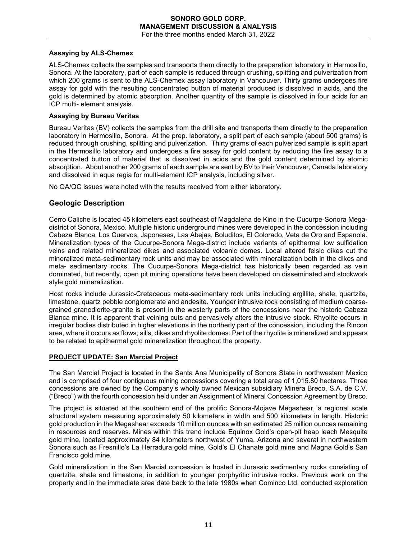# **Assaying by ALS-Chemex**

ALS-Chemex collects the samples and transports them directly to the preparation laboratory in Hermosillo, Sonora. At the laboratory, part of each sample is reduced through crushing, splitting and pulverization from which 200 grams is sent to the ALS-Chemex assay laboratory in Vancouver. Thirty grams undergoes fire assay for gold with the resulting concentrated button of material produced is dissolved in acids, and the gold is determined by atomic absorption. Another quantity of the sample is dissolved in four acids for an ICP multi- element analysis.

## **Assaying by Bureau Veritas**

Bureau Veritas (BV) collects the samples from the drill site and transports them directly to the preparation laboratory in Hermosillo, Sonora. At the prep. laboratory, a split part of each sample (about 500 grams) is reduced through crushing, splitting and pulverization. Thirty grams of each pulverized sample is split apart in the Hermosillo laboratory and undergoes a fire assay for gold content by reducing the fire assay to a concentrated button of material that is dissolved in acids and the gold content determined by atomic absorption. About another 200 grams of each sample are sent by BV to their Vancouver, Canada laboratory and dissolved in aqua regia for multi-element ICP analysis, including silver.

No QA/QC issues were noted with the results received from either laboratory.

# **Geologic Description**

Cerro Caliche is located 45 kilometers east southeast of Magdalena de Kino in the Cucurpe-Sonora Megadistrict of Sonora, Mexico. Multiple historic underground mines were developed in the concession including Cabeza Blanca, Los Cuervos, Japoneses, Las Abejas, Boluditos, El Colorado, Veta de Oro and Espanola. Mineralization types of the Cucurpe-Sonora Mega-district include variants of epithermal low sulfidation veins and related mineralized dikes and associated volcanic domes. Local altered felsic dikes cut the mineralized meta-sedimentary rock units and may be associated with mineralization both in the dikes and meta- sedimentary rocks. The Cucurpe-Sonora Mega-district has historically been regarded as vein dominated, but recently, open pit mining operations have been developed on disseminated and stockwork style gold mineralization.

Host rocks include Jurassic-Cretaceous meta-sedimentary rock units including argillite, shale, quartzite, limestone, quartz pebble conglomerate and andesite. Younger intrusive rock consisting of medium coarsegrained granodiorite-granite is present in the westerly parts of the concessions near the historic Cabeza Blanca mine. It is apparent that veining cuts and pervasively alters the intrusive stock. Rhyolite occurs in irregular bodies distributed in higher elevations in the northerly part of the concession, including the Rincon area, where it occurs as flows, sills, dikes and rhyolite domes. Part of the rhyolite is mineralized and appears to be related to epithermal gold mineralization throughout the property.

# **PROJECT UPDATE: San Marcial Project**

The San Marcial Project is located in the Santa Ana Municipality of Sonora State in northwestern Mexico and is comprised of four contiguous mining concessions covering a total area of 1,015.80 hectares. Three concessions are owned by the Company's wholly owned Mexican subsidiary Minera Breco, S.A. de C.V. ("Breco") with the fourth concession held under an Assignment of Mineral Concession Agreement by Breco.

The project is situated at the southern end of the prolific Sonora-Mojave Megashear, a regional scale structural system measuring approximately 50 kilometers in width and 500 kilometers in length. Historic gold production in the Megashear exceeds 10 million ounces with an estimated 25 million ounces remaining in resources and reserves. Mines within this trend include Equinox Gold's open-pit heap leach Mesquite gold mine, located approximately 84 kilometers northwest of Yuma, Arizona and several in northwestern Sonora such as Fresnillo's La Herradura gold mine, Gold's El Chanate gold mine and Magna Gold's San Francisco gold mine.

Gold mineralization in the San Marcial concession is hosted in Jurassic sedimentary rocks consisting of quartzite, shale and limestone, in addition to younger porphyritic intrusive rocks. Previous work on the property and in the immediate area date back to the late 1980s when Cominco Ltd. conducted exploration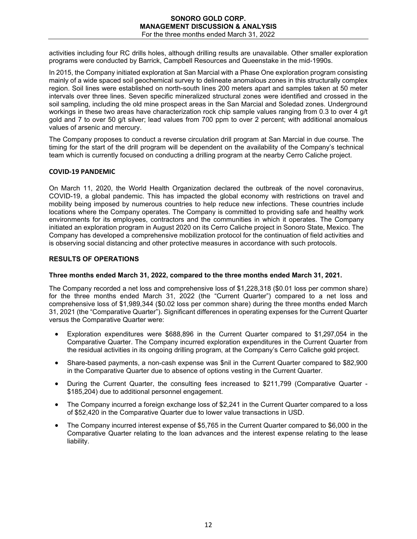activities including four RC drills holes, although drilling results are unavailable. Other smaller exploration programs were conducted by Barrick, Campbell Resources and Queenstake in the mid-1990s.

In 2015, the Company initiated exploration at San Marcial with a Phase One exploration program consisting mainly of a wide spaced soil geochemical survey to delineate anomalous zones in this structurally complex region. Soil lines were established on north-south lines 200 meters apart and samples taken at 50 meter intervals over three lines. Seven specific mineralized structural zones were identified and crossed in the soil sampling, including the old mine prospect areas in the San Marcial and Soledad zones. Underground workings in these two areas have characterization rock chip sample values ranging from 0.3 to over 4 g/t gold and 7 to over 50 g/t silver; lead values from 700 ppm to over 2 percent; with additional anomalous values of arsenic and mercury.

The Company proposes to conduct a reverse circulation drill program at San Marcial in due course. The timing for the start of the drill program will be dependent on the availability of the Company's technical team which is currently focused on conducting a drilling program at the nearby Cerro Caliche project.

## **COVID-19 PANDEMIC**

On March 11, 2020, the World Health Organization declared the outbreak of the novel coronavirus, COVID-19, a global pandemic. This has impacted the global economy with restrictions on travel and mobility being imposed by numerous countries to help reduce new infections. These countries include locations where the Company operates. The Company is committed to providing safe and healthy work environments for its employees, contractors and the communities in which it operates. The Company initiated an exploration program in August 2020 on its Cerro Caliche project in Sonoro State, Mexico. The Company has developed a comprehensive mobilization protocol for the continuation of field activities and is observing social distancing and other protective measures in accordance with such protocols.

## **RESULTS OF OPERATIONS**

### **Three months ended March 31, 2022, compared to the three months ended March 31, 2021.**

The Company recorded a net loss and comprehensive loss of \$1,228,318 (\$0.01 loss per common share) for the three months ended March 31, 2022 (the "Current Quarter") compared to a net loss and comprehensive loss of \$1,989,344 (\$0.02 loss per common share) during the three months ended March 31, 2021 (the "Comparative Quarter"). Significant differences in operating expenses for the Current Quarter versus the Comparative Quarter were:

- Exploration expenditures were \$688,896 in the Current Quarter compared to \$1,297,054 in the Comparative Quarter. The Company incurred exploration expenditures in the Current Quarter from the residual activities in its ongoing drilling program, at the Company's Cerro Caliche gold project.
- Share-based payments, a non-cash expense was \$nil in the Current Quarter compared to \$82,900 in the Comparative Quarter due to absence of options vesting in the Current Quarter.
- During the Current Quarter, the consulting fees increased to \$211,799 (Comparative Quarter \$185,204) due to additional personnel engagement.
- The Company incurred a foreign exchange loss of \$2,241 in the Current Quarter compared to a loss of \$52,420 in the Comparative Quarter due to lower value transactions in USD.
- The Company incurred interest expense of \$5,765 in the Current Quarter compared to \$6,000 in the Comparative Quarter relating to the loan advances and the interest expense relating to the lease liability.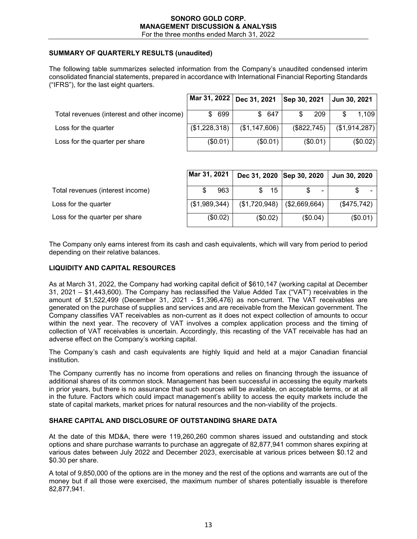## **SUMMARY OF QUARTERLY RESULTS (unaudited)**

The following table summarizes selected information from the Company's unaudited condensed interim consolidated financial statements, prepared in accordance with International Financial Reporting Standards ("IFRS"), for the last eight quarters.

|                                            |               | Mar 31, 2022   Dec 31, 2021   Sep 30, 2021 |             | Jun 30, 2021  |
|--------------------------------------------|---------------|--------------------------------------------|-------------|---------------|
| Total revenues (interest and other income) | 699<br>S.     | \$647                                      | 209         | 1.109         |
| Loss for the quarter                       | (\$1,228,318) | (\$1,147,606)                              | (\$822,745) | (\$1,914,287) |
| Loss for the quarter per share             | (\$0.01)      | (\$0.01)                                   | (\$0.01)    | (\$0.02)      |

|                                  | Mar 31, 2021  | Dec 31, 2020 Sep 30, 2020 |                | <b>Jun 30, 2020</b> |
|----------------------------------|---------------|---------------------------|----------------|---------------------|
| Total revenues (interest income) | 963           | 15<br>\$.                 | $\blacksquare$ |                     |
| Loss for the quarter             | (\$1,989,344) | (\$1,720,948)             | (\$2,669,664)  | (\$475,742)         |
| Loss for the quarter per share   | (\$0.02)      | (\$0.02)                  | (\$0.04)       | (\$0.01)            |

The Company only earns interest from its cash and cash equivalents, which will vary from period to period depending on their relative balances.

#### **LIQUIDITY AND CAPITAL RESOURCES**

As at March 31, 2022, the Company had working capital deficit of \$610,147 (working capital at December 31, 2021 – \$1,443,600). The Company has reclassified the Value Added Tax ("VAT") receivables in the amount of \$1,522,499 (December 31, 2021 - \$1,396,476) as non-current. The VAT receivables are generated on the purchase of supplies and services and are receivable from the Mexican government. The Company classifies VAT receivables as non-current as it does not expect collection of amounts to occur within the next year. The recovery of VAT involves a complex application process and the timing of collection of VAT receivables is uncertain. Accordingly, this recasting of the VAT receivable has had an adverse effect on the Company's working capital.

The Company's cash and cash equivalents are highly liquid and held at a major Canadian financial institution.

The Company currently has no income from operations and relies on financing through the issuance of additional shares of its common stock. Management has been successful in accessing the equity markets in prior years, but there is no assurance that such sources will be available, on acceptable terms, or at all in the future. Factors which could impact management's ability to access the equity markets include the state of capital markets, market prices for natural resources and the non-viability of the projects.

### **SHARE CAPITAL AND DISCLOSURE OF OUTSTANDING SHARE DATA**

At the date of this MD&A, there were 119,260,260 common shares issued and outstanding and stock options and share purchase warrants to purchase an aggregate of 82,877,941 common shares expiring at various dates between July 2022 and December 2023, exercisable at various prices between \$0.12 and \$0.30 per share.

A total of 9,850,000 of the options are in the money and the rest of the options and warrants are out of the money but if all those were exercised, the maximum number of shares potentially issuable is therefore 82,877,941.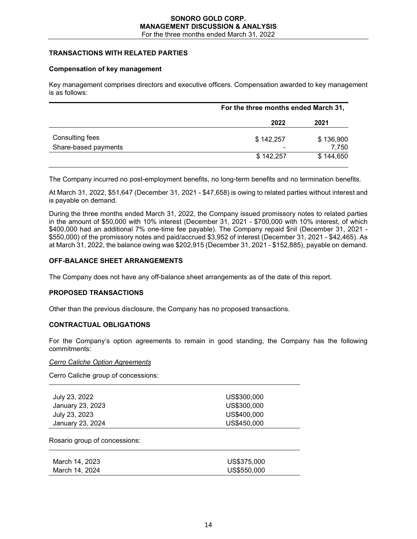## **TRANSACTIONS WITH RELATED PARTIES**

### **Compensation of key management**

Key management comprises directors and executive officers. Compensation awarded to key management is as follows:

|                      | For the three months ended March 31, |           |
|----------------------|--------------------------------------|-----------|
|                      | 2022                                 | 2021      |
| Consulting fees      | \$142,257                            | \$136,900 |
| Share-based payments | $\overline{\phantom{0}}$             | 7,750     |
|                      | \$142,257                            | \$144,650 |

The Company incurred no post-employment benefits, no long-term benefits and no termination benefits.

At March 31, 2022, \$51,647 (December 31, 2021 - \$47,658) is owing to related parties without interest and is payable on demand.

During the three months ended March 31, 2022, the Company issued promissory notes to related parties in the amount of \$50,000 with 10% interest (December 31, 2021 - \$700,000 with 10% interest, of which \$400,000 had an additional 7% one-time fee payable). The Company repaid \$nil (December 31, 2021 - \$550,000) of the promissory notes and paid/accrued \$3,952 of interest (December 31, 2021 - \$42,465). As at March 31, 2022, the balance owing was \$202,915 (December 31, 2021 - \$152,885), payable on demand.

### **OFF-BALANCE SHEET ARRANGEMENTS**

The Company does not have any off-balance sheet arrangements as of the date of this report.

### **PROPOSED TRANSACTIONS**

Other than the previous disclosure, the Company has no proposed transactions.

### **CONTRACTUAL OBLIGATIONS**

For the Company's option agreements to remain in good standing, the Company has the following commitments:

#### *Cerro Caliche Option Agreements*

Cerro Caliche group of concessions:

| July 23, 2022    | US\$300,000 |
|------------------|-------------|
| January 23, 2023 | US\$300,000 |
| July 23, 2023    | US\$400,000 |
| January 23, 2024 | US\$450,000 |
|                  |             |

Rosario group of concessions:

| March 14, 2023 | US\$375,000 |
|----------------|-------------|
| March 14, 2024 | US\$550.000 |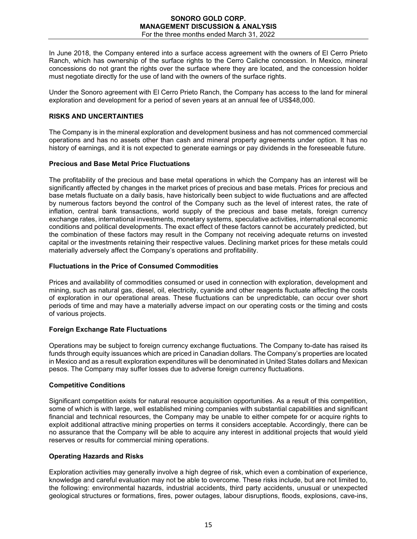In June 2018, the Company entered into a surface access agreement with the owners of El Cerro Prieto Ranch, which has ownership of the surface rights to the Cerro Caliche concession. In Mexico, mineral concessions do not grant the rights over the surface where they are located, and the concession holder must negotiate directly for the use of land with the owners of the surface rights.

Under the Sonoro agreement with El Cerro Prieto Ranch, the Company has access to the land for mineral exploration and development for a period of seven years at an annual fee of US\$48,000.

## **RISKS AND UNCERTAINTIES**

The Company is in the mineral exploration and development business and has not commenced commercial operations and has no assets other than cash and mineral property agreements under option. It has no history of earnings, and it is not expected to generate earnings or pay dividends in the foreseeable future.

### **Precious and Base Metal Price Fluctuations**

The profitability of the precious and base metal operations in which the Company has an interest will be significantly affected by changes in the market prices of precious and base metals. Prices for precious and base metals fluctuate on a daily basis, have historically been subject to wide fluctuations and are affected by numerous factors beyond the control of the Company such as the level of interest rates, the rate of inflation, central bank transactions, world supply of the precious and base metals, foreign currency exchange rates, international investments, monetary systems, speculative activities, international economic conditions and political developments. The exact effect of these factors cannot be accurately predicted, but the combination of these factors may result in the Company not receiving adequate returns on invested capital or the investments retaining their respective values. Declining market prices for these metals could materially adversely affect the Company's operations and profitability.

# **Fluctuations in the Price of Consumed Commodities**

Prices and availability of commodities consumed or used in connection with exploration, development and mining, such as natural gas, diesel, oil, electricity, cyanide and other reagents fluctuate affecting the costs of exploration in our operational areas. These fluctuations can be unpredictable, can occur over short periods of time and may have a materially adverse impact on our operating costs or the timing and costs of various projects.

# **Foreign Exchange Rate Fluctuations**

Operations may be subject to foreign currency exchange fluctuations. The Company to-date has raised its funds through equity issuances which are priced in Canadian dollars. The Company's properties are located in Mexico and as a result exploration expenditures will be denominated in United States dollars and Mexican pesos. The Company may suffer losses due to adverse foreign currency fluctuations.

### **Competitive Conditions**

Significant competition exists for natural resource acquisition opportunities. As a result of this competition, some of which is with large, well established mining companies with substantial capabilities and significant financial and technical resources, the Company may be unable to either compete for or acquire rights to exploit additional attractive mining properties on terms it considers acceptable. Accordingly, there can be no assurance that the Company will be able to acquire any interest in additional projects that would yield reserves or results for commercial mining operations.

### **Operating Hazards and Risks**

Exploration activities may generally involve a high degree of risk, which even a combination of experience, knowledge and careful evaluation may not be able to overcome. These risks include, but are not limited to, the following: environmental hazards, industrial accidents, third party accidents, unusual or unexpected geological structures or formations, fires, power outages, labour disruptions, floods, explosions, cave-ins,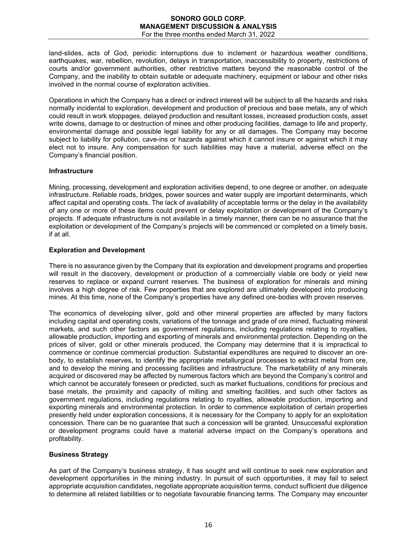land-slides, acts of God, periodic interruptions due to inclement or hazardous weather conditions, earthquakes, war, rebellion, revolution, delays in transportation, inaccessibility to property, restrictions of courts and/or government authorities, other restrictive matters beyond the reasonable control of the Company, and the inability to obtain suitable or adequate machinery, equipment or labour and other risks involved in the normal course of exploration activities.

Operations in which the Company has a direct or indirect interest will be subject to all the hazards and risks normally incidental to exploration, development and production of precious and base metals, any of which could result in work stoppages, delayed production and resultant losses, increased production costs, asset write downs, damage to or destruction of mines and other producing facilities, damage to life and property, environmental damage and possible legal liability for any or all damages. The Company may become subject to liability for pollution, cave-ins or hazards against which it cannot insure or against which it may elect not to insure. Any compensation for such liabilities may have a material, adverse effect on the Company's financial position.

## **Infrastructure**

Mining, processing, development and exploration activities depend, to one degree or another, on adequate infrastructure. Reliable roads, bridges, power sources and water supply are important determinants, which affect capital and operating costs. The lack of availability of acceptable terms or the delay in the availability of any one or more of these items could prevent or delay exploitation or development of the Company's projects. If adequate infrastructure is not available in a timely manner, there can be no assurance that the exploitation or development of the Company's projects will be commenced or completed on a timely basis, if at all.

## **Exploration and Development**

There is no assurance given by the Company that its exploration and development programs and properties will result in the discovery, development or production of a commercially viable ore body or yield new reserves to replace or expand current reserves. The business of exploration for minerals and mining involves a high degree of risk. Few properties that are explored are ultimately developed into producing mines. At this time, none of the Company's properties have any defined ore-bodies with proven reserves.

The economics of developing silver, gold and other mineral properties are affected by many factors including capital and operating costs, variations of the tonnage and grade of ore mined, fluctuating mineral markets, and such other factors as government regulations, including regulations relating to royalties, allowable production, importing and exporting of minerals and environmental protection. Depending on the prices of silver, gold or other minerals produced, the Company may determine that it is impractical to commence or continue commercial production. Substantial expenditures are required to discover an orebody, to establish reserves, to identify the appropriate metallurgical processes to extract metal from ore, and to develop the mining and processing facilities and infrastructure. The marketability of any minerals acquired or discovered may be affected by numerous factors which are beyond the Company's control and which cannot be accurately foreseen or predicted, such as market fluctuations, conditions for precious and base metals, the proximity and capacity of milling and smelting facilities, and such other factors as government regulations, including regulations relating to royalties, allowable production, importing and exporting minerals and environmental protection. In order to commence exploitation of certain properties presently held under exploration concessions, it is necessary for the Company to apply for an exploitation concession. There can be no guarantee that such a concession will be granted. Unsuccessful exploration or development programs could have a material adverse impact on the Company's operations and profitability.

# **Business Strategy**

As part of the Company's business strategy, it has sought and will continue to seek new exploration and development opportunities in the mining industry. In pursuit of such opportunities, it may fail to select appropriate acquisition candidates, negotiate appropriate acquisition terms, conduct sufficient due diligence to determine all related liabilities or to negotiate favourable financing terms. The Company may encounter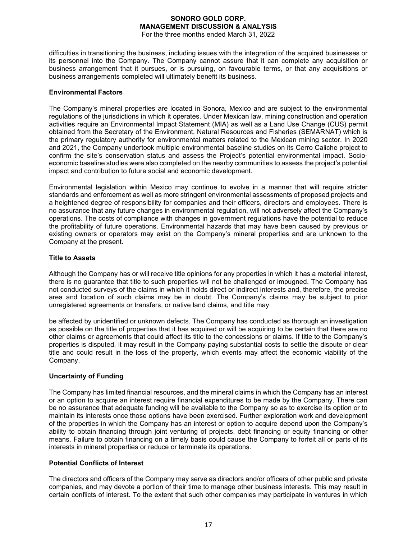difficulties in transitioning the business, including issues with the integration of the acquired businesses or its personnel into the Company. The Company cannot assure that it can complete any acquisition or business arrangement that it pursues, or is pursuing, on favourable terms, or that any acquisitions or business arrangements completed will ultimately benefit its business.

## **Environmental Factors**

The Company's mineral properties are located in Sonora, Mexico and are subject to the environmental regulations of the jurisdictions in which it operates. Under Mexican law, mining construction and operation activities require an Environmental Impact Statement (MIA) as well as a Land Use Change (CUS) permit obtained from the Secretary of the Environment, Natural Resources and Fisheries (SEMARNAT) which is the primary regulatory authority for environmental matters related to the Mexican mining sector. In 2020 and 2021, the Company undertook multiple environmental baseline studies on its Cerro Caliche project to confirm the site's conservation status and assess the Project's potential environmental impact. Socioeconomic baseline studies were also completed on the nearby communities to assess the project's potential impact and contribution to future social and economic development.

Environmental legislation within Mexico may continue to evolve in a manner that will require stricter standards and enforcement as well as more stringent environmental assessments of proposed projects and a heightened degree of responsibility for companies and their officers, directors and employees. There is no assurance that any future changes in environmental regulation, will not adversely affect the Company's operations. The costs of compliance with changes in government regulations have the potential to reduce the profitability of future operations. Environmental hazards that may have been caused by previous or existing owners or operators may exist on the Company's mineral properties and are unknown to the Company at the present.

## **Title to Assets**

Although the Company has or will receive title opinions for any properties in which it has a material interest, there is no guarantee that title to such properties will not be challenged or impugned. The Company has not conducted surveys of the claims in which it holds direct or indirect interests and, therefore, the precise area and location of such claims may be in doubt. The Company's claims may be subject to prior unregistered agreements or transfers, or native land claims, and title may

be affected by unidentified or unknown defects. The Company has conducted as thorough an investigation as possible on the title of properties that it has acquired or will be acquiring to be certain that there are no other claims or agreements that could affect its title to the concessions or claims. If title to the Company's properties is disputed, it may result in the Company paying substantial costs to settle the dispute or clear title and could result in the loss of the property, which events may affect the economic viability of the Company.

# **Uncertainty of Funding**

The Company has limited financial resources, and the mineral claims in which the Company has an interest or an option to acquire an interest require financial expenditures to be made by the Company. There can be no assurance that adequate funding will be available to the Company so as to exercise its option or to maintain its interests once those options have been exercised. Further exploration work and development of the properties in which the Company has an interest or option to acquire depend upon the Company's ability to obtain financing through joint venturing of projects, debt financing or equity financing or other means. Failure to obtain financing on a timely basis could cause the Company to forfeit all or parts of its interests in mineral properties or reduce or terminate its operations.

# **Potential Conflicts of Interest**

The directors and officers of the Company may serve as directors and/or officers of other public and private companies, and may devote a portion of their time to manage other business interests. This may result in certain conflicts of interest. To the extent that such other companies may participate in ventures in which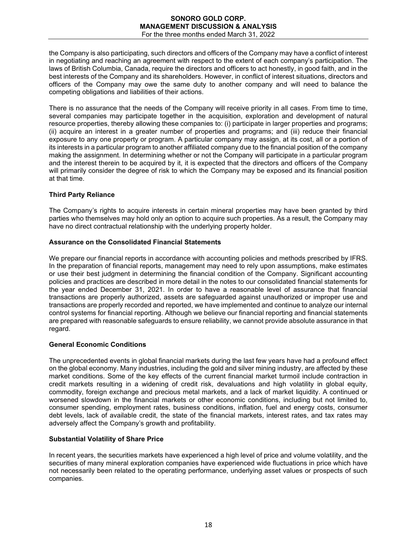the Company is also participating, such directors and officers of the Company may have a conflict of interest in negotiating and reaching an agreement with respect to the extent of each company's participation. The laws of British Columbia, Canada, require the directors and officers to act honestly, in good faith, and in the best interests of the Company and its shareholders. However, in conflict of interest situations, directors and officers of the Company may owe the same duty to another company and will need to balance the competing obligations and liabilities of their actions.

There is no assurance that the needs of the Company will receive priority in all cases. From time to time, several companies may participate together in the acquisition, exploration and development of natural resource properties, thereby allowing these companies to: (i) participate in larger properties and programs; (ii) acquire an interest in a greater number of properties and programs; and (iii) reduce their financial exposure to any one property or program. A particular company may assign, at its cost, all or a portion of its interests in a particular program to another affiliated company due to the financial position of the company making the assignment. In determining whether or not the Company will participate in a particular program and the interest therein to be acquired by it, it is expected that the directors and officers of the Company will primarily consider the degree of risk to which the Company may be exposed and its financial position at that time.

# **Third Party Reliance**

The Company's rights to acquire interests in certain mineral properties may have been granted by third parties who themselves may hold only an option to acquire such properties. As a result, the Company may have no direct contractual relationship with the underlying property holder.

### **Assurance on the Consolidated Financial Statements**

We prepare our financial reports in accordance with accounting policies and methods prescribed by IFRS. In the preparation of financial reports, management may need to rely upon assumptions, make estimates or use their best judgment in determining the financial condition of the Company. Significant accounting policies and practices are described in more detail in the notes to our consolidated financial statements for the year ended December 31, 2021. In order to have a reasonable level of assurance that financial transactions are properly authorized, assets are safeguarded against unauthorized or improper use and transactions are properly recorded and reported, we have implemented and continue to analyze our internal control systems for financial reporting. Although we believe our financial reporting and financial statements are prepared with reasonable safeguards to ensure reliability, we cannot provide absolute assurance in that regard.

## **General Economic Conditions**

The unprecedented events in global financial markets during the last few years have had a profound effect on the global economy. Many industries, including the gold and silver mining industry, are affected by these market conditions. Some of the key effects of the current financial market turmoil include contraction in credit markets resulting in a widening of credit risk, devaluations and high volatility in global equity, commodity, foreign exchange and precious metal markets, and a lack of market liquidity. A continued or worsened slowdown in the financial markets or other economic conditions, including but not limited to, consumer spending, employment rates, business conditions, inflation, fuel and energy costs, consumer debt levels, lack of available credit, the state of the financial markets, interest rates, and tax rates may adversely affect the Company's growth and profitability.

### **Substantial Volatility of Share Price**

In recent years, the securities markets have experienced a high level of price and volume volatility, and the securities of many mineral exploration companies have experienced wide fluctuations in price which have not necessarily been related to the operating performance, underlying asset values or prospects of such companies.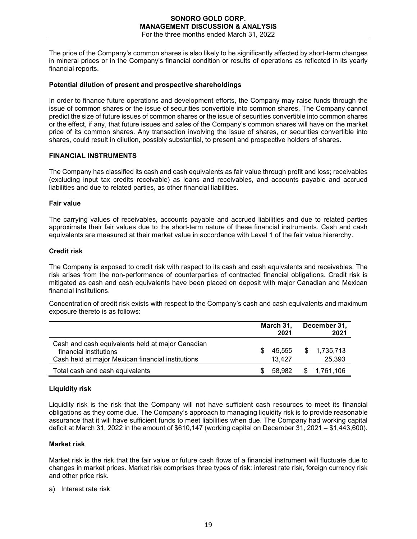The price of the Company's common shares is also likely to be significantly affected by short-term changes in mineral prices or in the Company's financial condition or results of operations as reflected in its yearly financial reports.

### **Potential dilution of present and prospective shareholdings**

In order to finance future operations and development efforts, the Company may raise funds through the issue of common shares or the issue of securities convertible into common shares. The Company cannot predict the size of future issues of common shares or the issue of securities convertible into common shares or the effect, if any, that future issues and sales of the Company's common shares will have on the market price of its common shares. Any transaction involving the issue of shares, or securities convertible into shares, could result in dilution, possibly substantial, to present and prospective holders of shares.

#### **FINANCIAL INSTRUMENTS**

The Company has classified its cash and cash equivalents as fair value through profit and loss; receivables (excluding input tax credits receivable) as loans and receivables, and accounts payable and accrued liabilities and due to related parties, as other financial liabilities.

#### **Fair value**

The carrying values of receivables, accounts payable and accrued liabilities and due to related parties approximate their fair values due to the short-term nature of these financial instruments. Cash and cash equivalents are measured at their market value in accordance with Level 1 of the fair value hierarchy.

## **Credit risk**

The Company is exposed to credit risk with respect to its cash and cash equivalents and receivables. The risk arises from the non-performance of counterparties of contracted financial obligations. Credit risk is mitigated as cash and cash equivalents have been placed on deposit with major Canadian and Mexican financial institutions.

Concentration of credit risk exists with respect to the Company's cash and cash equivalents and maximum exposure thereto is as follows:

|                                                                                                                                 |   | March 31,<br>2021 | December 31,<br>2021  |
|---------------------------------------------------------------------------------------------------------------------------------|---|-------------------|-----------------------|
| Cash and cash equivalents held at major Canadian<br>financial institutions<br>Cash held at major Mexican financial institutions | S | 45.555<br>13.427  | \$1,735,713<br>25,393 |
| Total cash and cash equivalents                                                                                                 |   | 58.982            | \$ 1,761,106          |

### **Liquidity risk**

Liquidity risk is the risk that the Company will not have sufficient cash resources to meet its financial obligations as they come due. The Company's approach to managing liquidity risk is to provide reasonable assurance that it will have sufficient funds to meet liabilities when due. The Company had working capital deficit at March 31, 2022 in the amount of \$610,147 (working capital on December 31, 2021 – \$1,443,600).

### **Market risk**

Market risk is the risk that the fair value or future cash flows of a financial instrument will fluctuate due to changes in market prices. Market risk comprises three types of risk: interest rate risk, foreign currency risk and other price risk.

#### a) Interest rate risk